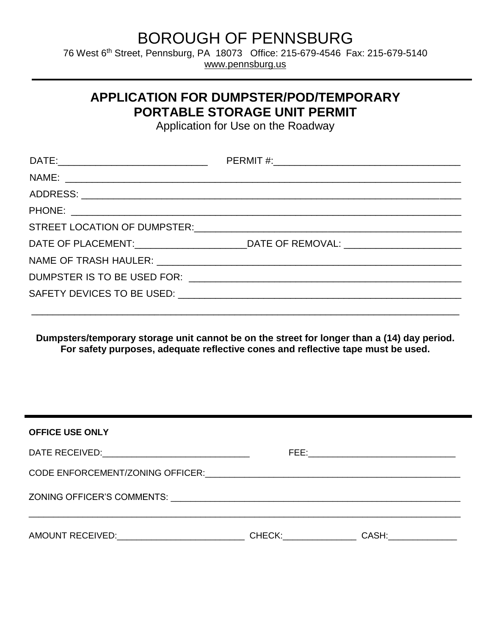## BOROUGH OF PENNSBURG

76 West 6<sup>th</sup> Street, Pennsburg, PA 18073 Office: 215-679-4546 Fax: 215-679-5140 [www.pennsburg.us](http://www.pennsburg.us/)

## **APPLICATION FOR DUMPSTER/POD/TEMPORARY PORTABLE STORAGE UNIT PERMIT**

Application for Use on the Roadway

| DATE OF PLACEMENT:______________________________DATE OF REMOVAL: ________________ |
|-----------------------------------------------------------------------------------|
|                                                                                   |
|                                                                                   |
|                                                                                   |
|                                                                                   |

**Dumpsters/temporary storage unit cannot be on the street for longer than a (14) day period. For safety purposes, adequate reflective cones and reflective tape must be used.** 

| <b>OFFICE USE ONLY</b>                                                                                         |                                                                                                                                                                                                                                |       |
|----------------------------------------------------------------------------------------------------------------|--------------------------------------------------------------------------------------------------------------------------------------------------------------------------------------------------------------------------------|-------|
|                                                                                                                |                                                                                                                                                                                                                                |       |
| CODE ENFORCEMENT/ZONING OFFICER: COLLECTED AND ACCORDING THE RESIDENCE OF THE CODE ENFORCEMENT/ZONING OFFICER: |                                                                                                                                                                                                                                |       |
|                                                                                                                |                                                                                                                                                                                                                                |       |
| AMOUNT RECEIVED: AMOUNT RECEIVED:                                                                              | CHECK: The contract of the contract of the contract of the contract of the contract of the contract of the contract of the contract of the contract of the contract of the contract of the contract of the contract of the con | CASH: |